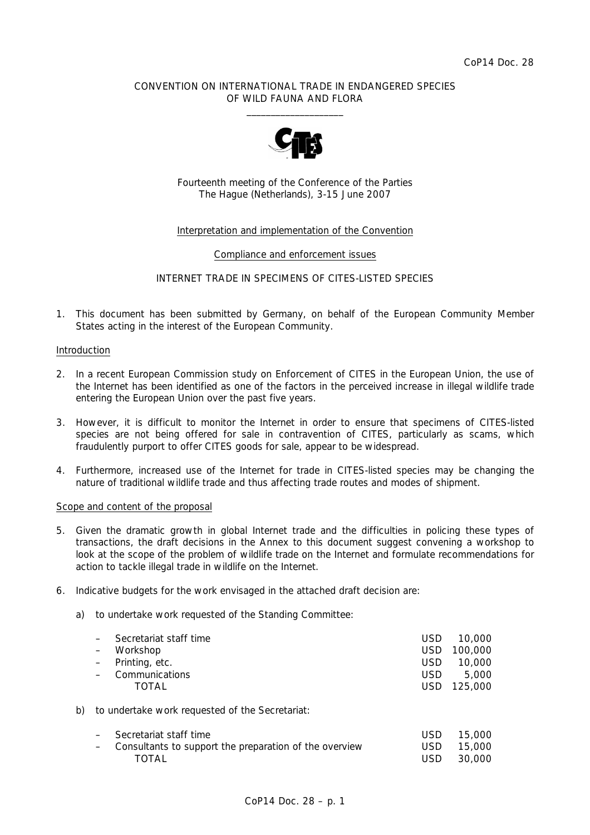## CONVENTION ON INTERNATIONAL TRADE IN ENDANGERED SPECIES OF WILD FAUNA AND FLORA  $\frac{1}{2}$  , and the set of the set of the set of the set of the set of the set of the set of the set of the set of the set of the set of the set of the set of the set of the set of the set of the set of the set of the set



Fourteenth meeting of the Conference of the Parties The Hague (Netherlands), 3-15 June 2007

## Interpretation and implementation of the Convention

### Compliance and enforcement issues

# INTERNET TRADE IN SPECIMENS OF CITES-LISTED SPECIES

1. This document has been submitted by Germany, on behalf of the European Community Member States acting in the interest of the European Community.

#### Introduction

- 2. In a recent European Commission study on Enforcement of CITES in the European Union, the use of the Internet has been identified as one of the factors in the perceived increase in illegal wildlife trade entering the European Union over the past five years.
- 3. However, it is difficult to monitor the Internet in order to ensure that specimens of CITES-listed species are not being offered for sale in contravention of CITES, particularly as scams, which fraudulently purport to offer CITES goods for sale, appear to be widespread.
- 4. Furthermore, increased use of the Internet for trade in CITES-listed species may be changing the nature of traditional wildlife trade and thus affecting trade routes and modes of shipment.

#### Scope and content of the proposal

- 5. Given the dramatic growth in global Internet trade and the difficulties in policing these types of transactions, the draft decisions in the Annex to this document suggest convening a workshop to look at the scope of the problem of wildlife trade on the Internet and formulate recommendations for action to tackle illegal trade in wildlife on the Internet.
- 6. Indicative budgets for the work envisaged in the attached draft decision are:
	- a) to undertake work requested of the Standing Committee:

|    | Secretariat staff time                                 | <b>USD</b> | 10,000  |  |
|----|--------------------------------------------------------|------------|---------|--|
|    | Workshop                                               | <b>USD</b> | 100,000 |  |
|    | Printing, etc.                                         | <b>USD</b> | 10,000  |  |
|    | Communications                                         | <b>USD</b> | 5,000   |  |
|    | TOTAL                                                  | <b>USD</b> | 125,000 |  |
| b) | to undertake work requested of the Secretariat:        |            |         |  |
|    | Secretariat staff time                                 | <b>USD</b> | 15,000  |  |
|    | Consultants to support the preparation of the overview | <b>USD</b> | 15,000  |  |
|    | TOTAL                                                  | USD        | 30,000  |  |
|    |                                                        |            |         |  |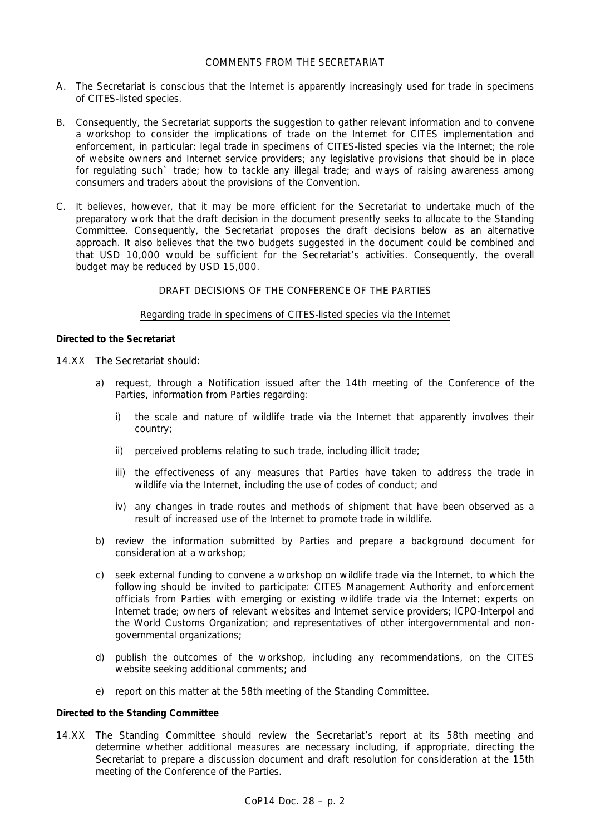## COMMENTS FROM THE SECRETARIAT

- A. The Secretariat is conscious that the Internet is apparently increasingly used for trade in specimens of CITES-listed species.
- B. Consequently, the Secretariat supports the suggestion to gather relevant information and to convene a workshop to consider the implications of trade on the Internet for CITES implementation and enforcement, in particular: legal trade in specimens of CITES-listed species via the Internet; the role of website owners and Internet service providers; any legislative provisions that should be in place for regulating such` trade; how to tackle any illegal trade; and ways of raising awareness among consumers and traders about the provisions of the Convention.
- C. It believes, however, that it may be more efficient for the Secretariat to undertake much of the preparatory work that the draft decision in the document presently seeks to allocate to the Standing Committee. Consequently, the Secretariat proposes the draft decisions below as an alternative approach. It also believes that the two budgets suggested in the document could be combined and that USD 10,000 would be sufficient for the Secretariat's activities. Consequently, the overall budget may be reduced by USD 15,000.

# DRAFT DECISIONS OF THE CONFERENCE OF THE PARTIES

#### Regarding trade in specimens of CITES-listed species via the Internet

## *Directed to the Secretariat*

- 14.XX The Secretariat should:
	- a) request, through a Notification issued after the 14th meeting of the Conference of the Parties, information from Parties regarding:
		- i) the scale and nature of wildlife trade via the Internet that apparently involves their country;
		- ii) perceived problems relating to such trade, including illicit trade;
		- iii) the effectiveness of any measures that Parties have taken to address the trade in wildlife via the Internet, including the use of codes of conduct; and
		- iv) any changes in trade routes and methods of shipment that have been observed as a result of increased use of the Internet to promote trade in wildlife.
	- b) review the information submitted by Parties and prepare a background document for consideration at a workshop;
	- c) seek external funding to convene a workshop on wildlife trade via the Internet, to which the following should be invited to participate: CITES Management Authority and enforcement officials from Parties with emerging or existing wildlife trade via the Internet; experts on Internet trade; owners of relevant websites and Internet service providers; ICPO-Interpol and the World Customs Organization; and representatives of other intergovernmental and nongovernmental organizations;
	- d) publish the outcomes of the workshop, including any recommendations, on the CITES website seeking additional comments; and
	- e) report on this matter at the 58th meeting of the Standing Committee.

## *Directed to the Standing Committee*

14.XX The Standing Committee should review the Secretariat's report at its 58th meeting and determine whether additional measures are necessary including, if appropriate, directing the Secretariat to prepare a discussion document and draft resolution for consideration at the 15th meeting of the Conference of the Parties.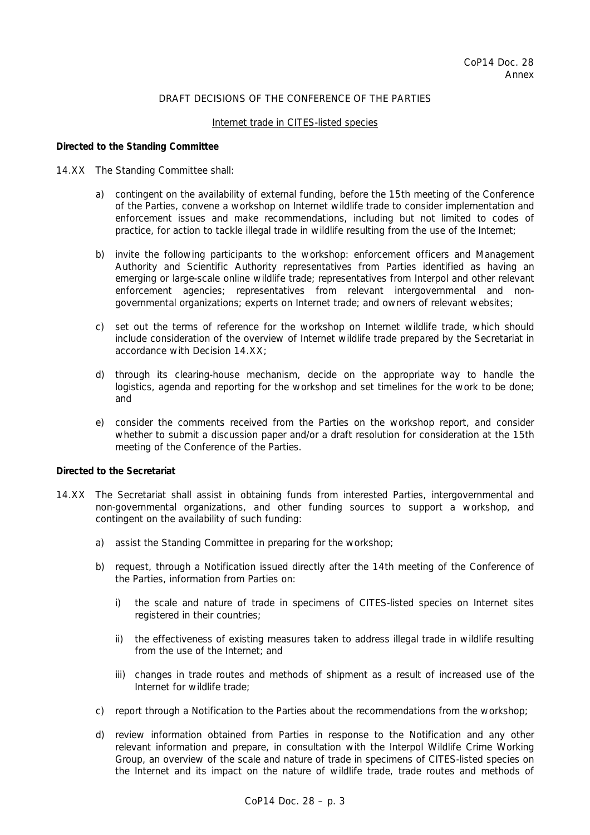# DRAFT DECISIONS OF THE CONFERENCE OF THE PARTIES

#### Internet trade in CITES-listed species

#### *Directed to the Standing Committee*

#### 14.XX The Standing Committee shall:

- a) contingent on the availability of external funding, before the 15th meeting of the Conference of the Parties, convene a workshop on Internet wildlife trade to consider implementation and enforcement issues and make recommendations, including but not limited to codes of practice, for action to tackle illegal trade in wildlife resulting from the use of the Internet;
- b) invite the following participants to the workshop: enforcement officers and Management Authority and Scientific Authority representatives from Parties identified as having an emerging or large-scale online wildlife trade; representatives from Interpol and other relevant enforcement agencies; representatives from relevant intergovernmental and nongovernmental organizations; experts on Internet trade; and owners of relevant websites;
- c) set out the terms of reference for the workshop on Internet wildlife trade, which should include consideration of the overview of Internet wildlife trade prepared by the Secretariat in accordance with Decision 14.XX;
- d) through its clearing-house mechanism, decide on the appropriate way to handle the logistics, agenda and reporting for the workshop and set timelines for the work to be done; and
- e) consider the comments received from the Parties on the workshop report, and consider whether to submit a discussion paper and/or a draft resolution for consideration at the 15th meeting of the Conference of the Parties.

#### *Directed to the Secretariat*

- 14.XX The Secretariat shall assist in obtaining funds from interested Parties, intergovernmental and non-governmental organizations, and other funding sources to support a workshop, and contingent on the availability of such funding:
	- a) assist the Standing Committee in preparing for the workshop;
	- b) request, through a Notification issued directly after the 14th meeting of the Conference of the Parties, information from Parties on:
		- i) the scale and nature of trade in specimens of CITES-listed species on Internet sites registered in their countries;
		- ii) the effectiveness of existing measures taken to address illegal trade in wildlife resulting from the use of the Internet; and
		- iii) changes in trade routes and methods of shipment as a result of increased use of the Internet for wildlife trade;
	- c) report through a Notification to the Parties about the recommendations from the workshop;
	- d) review information obtained from Parties in response to the Notification and any other relevant information and prepare, in consultation with the Interpol Wildlife Crime Working Group, an overview of the scale and nature of trade in specimens of CITES-listed species on the Internet and its impact on the nature of wildlife trade, trade routes and methods of